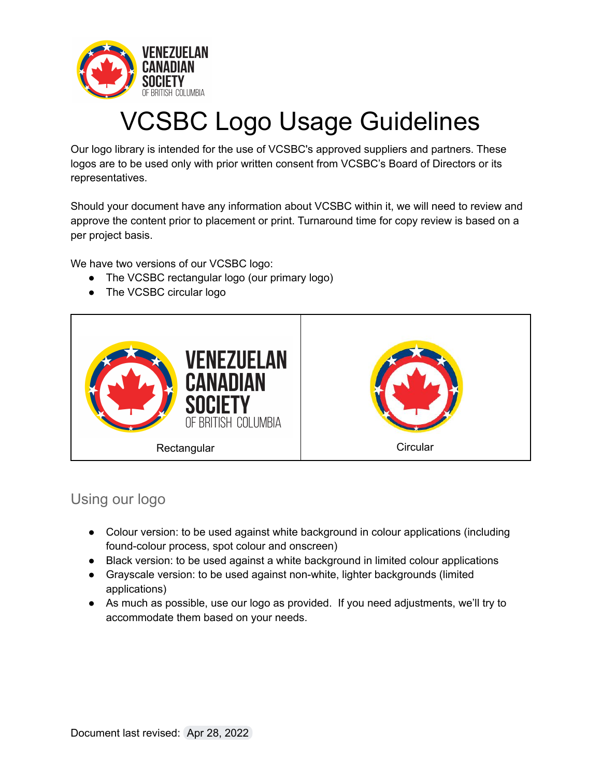

# VCSBC Logo Usage Guidelines

Our logo library is intended for the use of VCSBC's approved suppliers and partners. These logos are to be used only with prior written consent from VCSBC's Board of Directors or its representatives.

Should your document have any information about VCSBC within it, we will need to review and approve the content prior to placement or print. Turnaround time for copy review is based on a per project basis.

We have two versions of our VCSBC logo:

- The VCSBC rectangular logo (our primary logo)
- The VCSBC circular logo



## Using our logo

- Colour version: to be used against white background in colour applications (including found-colour process, spot colour and onscreen)
- Black version: to be used against a white background in limited colour applications
- Grayscale version: to be used against non-white, lighter backgrounds (limited applications)
- As much as possible, use our logo as provided. If you need adjustments, we'll try to accommodate them based on your needs.